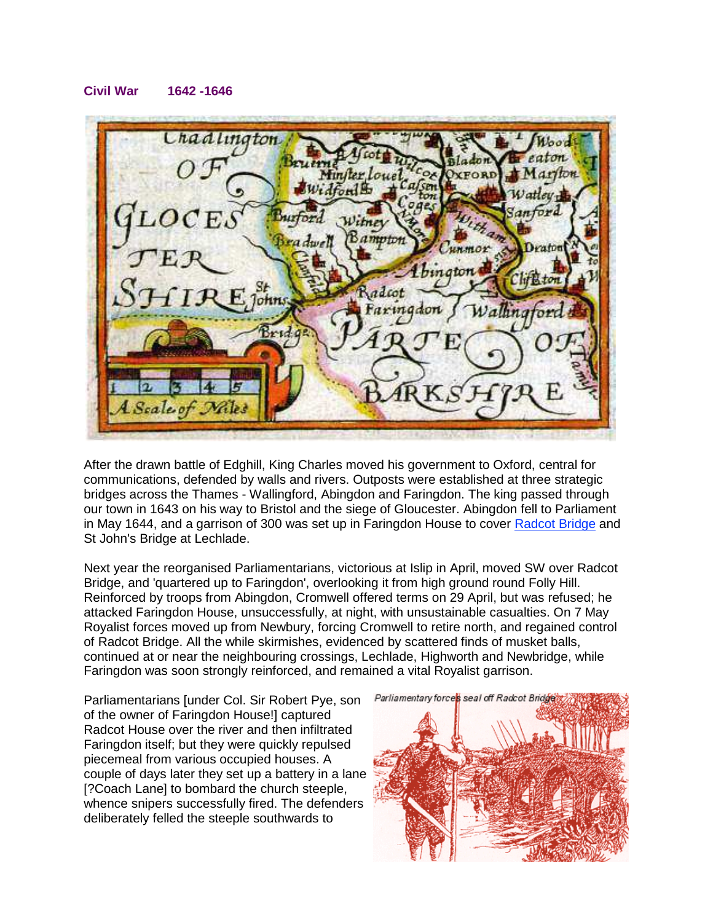## **Civil War 1642 -1646**

 $L$ *had ling* Miniter Loue **XFORD** Widford ינסי Vitne ampto ator adcot ohns Faring Scale of Miles

After the drawn battle of Edghill, King Charles moved his government to Oxford, central for communications, defended by walls and rivers. Outposts were established at three strategic bridges across the Thames - Wallingford, Abingdon and Faringdon. The king passed through our town in 1643 on his way to Bristol and the siege of Gloucester. Abingdon fell to Parliament in May 1644, and a garrison of 300 was set up in Faringdon House to cover Radcot Bridge and St John's Bridge at Lechlade.

Next year the reorganised Parliamentarians, victorious at Islip in April, moved SW over Radcot Bridge, and 'quartered up to Faringdon', overlooking it from high ground round Folly Hill. Reinforced by troops from Abingdon, Cromwell offered terms on 29 April, but was refused; he attacked Faringdon House, unsuccessfully, at night, with unsustainable casualties. On 7 May Royalist forces moved up from Newbury, forcing Cromwell to retire north, and regained control of Radcot Bridge. All the while skirmishes, evidenced by scattered finds of musket balls, continued at or near the neighbouring crossings, Lechlade, Highworth and Newbridge, while Faringdon was soon strongly reinforced, and remained a vital Royalist garrison.

Parliamentarians [under Col. Sir Robert Pye, son of the owner of Faringdon House!] captured Radcot House over the river and then infiltrated Faringdon itself; but they were quickly repulsed piecemeal from various occupied houses. A couple of days later they set up a battery in a lane [?Coach Lane] to bombard the church steeple, whence snipers successfully fired. The defenders deliberately felled the steeple southwards to